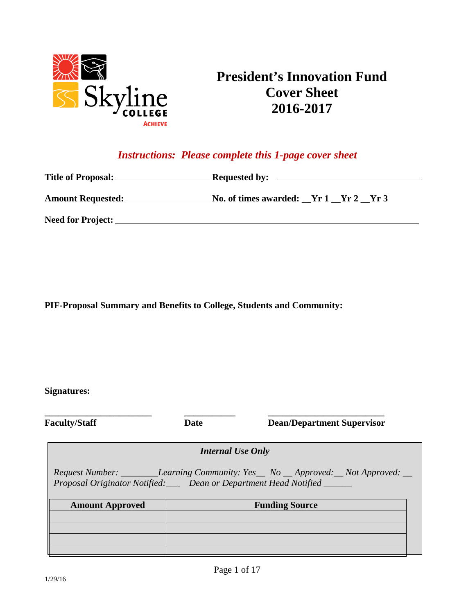

# **President's Innovation Fund Cover Sheet 2016-2017**

# *Instructions: Please complete this 1-page cover sheet*

| <b>Amount Requested:</b> | No. of times awarded: Yr 1 Yr 2 Yr 3 |
|--------------------------|--------------------------------------|
| <b>Need for Project:</b> |                                      |

**PIF-Proposal Summary and Benefits to College, Students and Community:** 

**Signatures:**

**\_\_\_\_\_\_\_\_\_\_\_\_\_\_\_\_\_\_\_\_\_\_\_ \_\_\_\_\_\_\_\_\_\_\_ \_\_\_\_\_\_\_\_\_\_\_\_\_\_\_\_\_\_\_\_\_\_\_\_\_**

**Faculty/Staff Date Dean/Department Supervisor**

*Internal Use Only*

*Request Number: \_\_\_\_\_\_\_\_Learning Community: Yes\_\_ No \_\_ Approved:\_\_ Not Approved: \_\_ Proposal Originator Notified:\_\_\_ Dean or Department Head Notified \_\_\_\_\_\_*

| <b>Amount Approved</b> | <b>Funding Source</b> |
|------------------------|-----------------------|
|                        |                       |
|                        |                       |
|                        |                       |
|                        |                       |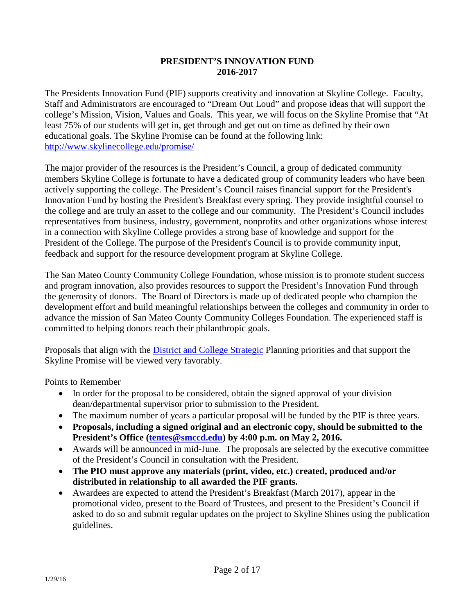### **PRESIDENT'S INNOVATION FUND 2016-2017**

The Presidents Innovation Fund (PIF) supports creativity and innovation at Skyline College. Faculty, Staff and Administrators are encouraged to "Dream Out Loud" and propose ideas that will support the college's Mission, Vision, Values and Goals. This year, we will focus on the Skyline Promise that "At least 75% of our students will get in, get through and get out on time as defined by their own educational goals. The Skyline Promise can be found at the following link: <http://www.skylinecollege.edu/promise/>

The major provider of the resources is the President's Council, a group of dedicated community members Skyline College is fortunate to have a dedicated group of community leaders who have been actively supporting the college. The President's Council raises financial support for the President's Innovation Fund by hosting the President's Breakfast every spring. They provide insightful counsel to the college and are truly an asset to the college and our community. The President's Council includes representatives from business, industry, government, nonprofits and other organizations whose interest in a connection with Skyline College provides a strong base of knowledge and support for the President of the College. The purpose of the President's Council is to provide community input, feedback and support for the resource development program at Skyline College.

The San Mateo County Community College Foundation, whose mission is to promote student success and program innovation, also provides resources to support the President's Innovation Fund through the generosity of donors. The Board of Directors is made up of dedicated people who champion the development effort and build meaningful relationships between the colleges and community in order to advance the mission of San Mateo County Community Colleges Foundation. The experienced staff is committed to helping donors reach their philanthropic goals.

Proposals that align with the **District and College Strategic Planning priorities and that support the** Skyline Promise will be viewed very favorably.

Points to Remember

- In order for the proposal to be considered, obtain the signed approval of your division dean/departmental supervisor prior to submission to the President.
- The maximum number of years a particular proposal will be funded by the PIF is three years.
- **Proposals, including a signed original and an electronic copy, should be submitted to the President's Office [\(tentes@smccd.edu\)](mailto:tentes@smccd.edu) by 4:00 p.m. on May 2, 2016.**
- Awards will be announced in mid-June. The proposals are selected by the executive committee of the President's Council in consultation with the President.
- **The PIO must approve any materials (print, video, etc.) created, produced and/or distributed in relationship to all awarded the PIF grants.**
- Awardees are expected to attend the President's Breakfast (March 2017), appear in the promotional video, present to the Board of Trustees, and present to the President's Council if asked to do so and submit regular updates on the project to Skyline Shines using the publication guidelines.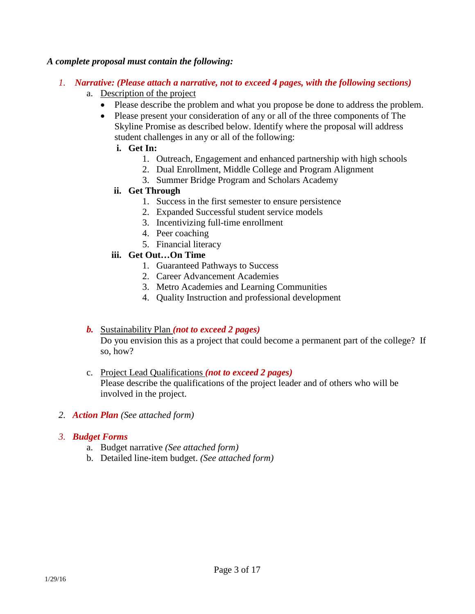### *A complete proposal must contain the following:*

- *1. Narrative: (Please attach a narrative, not to exceed 4 pages, with the following sections)*
	- a. Description of the project
		- Please describe the problem and what you propose be done to address the problem.
		- Please present your consideration of any or all of the three components of The Skyline Promise as described below. Identify where the proposal will address student challenges in any or all of the following:
			- **i. Get In:** 
				- 1. Outreach, Engagement and enhanced partnership with high schools
				- 2. Dual Enrollment, Middle College and Program Alignment
				- 3. Summer Bridge Program and Scholars Academy
			- **ii. Get Through**
				- 1. Success in the first semester to ensure persistence
				- 2. Expanded Successful student service models
				- 3. Incentivizing full-time enrollment
				- 4. Peer coaching
				- 5. Financial literacy

### **iii. Get Out…On Time**

- 1. Guaranteed Pathways to Success
- 2. Career Advancement Academies
- 3. Metro Academies and Learning Communities
- 4. Quality Instruction and professional development

# *b.* Sustainability Plan *(not to exceed 2 pages)*

Do you envision this as a project that could become a permanent part of the college? If so, how?

- c. Project Lead Qualifications *(not to exceed 2 pages)* Please describe the qualifications of the project leader and of others who will be involved in the project.
- *2. Action Plan (See attached form)*

#### *3. Budget Forms*

- a. Budget narrative *(See attached form)*
- b. Detailed line-item budget. *(See attached form)*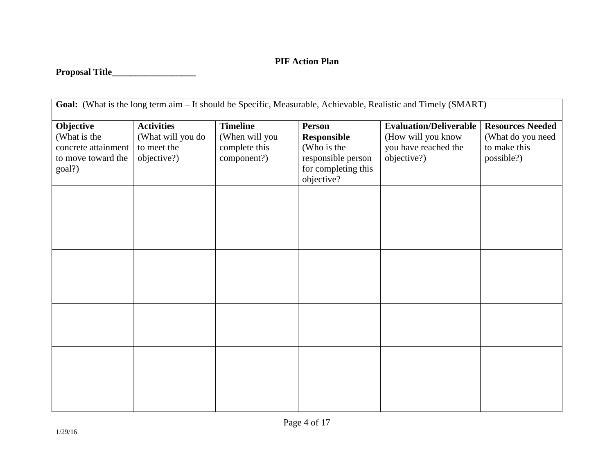# **PIF Action Plan**

# **Proposal Title\_\_\_\_\_\_\_\_\_\_\_\_\_\_\_\_\_\_**

| Goal: (What is the long term aim - It should be Specific, Measurable, Achievable, Realistic and Timely (SMART) |                                                                      |                                                                   |                                                                          |                                                                                            |                                                                            |
|----------------------------------------------------------------------------------------------------------------|----------------------------------------------------------------------|-------------------------------------------------------------------|--------------------------------------------------------------------------|--------------------------------------------------------------------------------------------|----------------------------------------------------------------------------|
| Objective<br>(What is the<br>concrete attainment<br>to move toward the                                         | <b>Activities</b><br>(What will you do<br>to meet the<br>objective?) | <b>Timeline</b><br>(When will you<br>complete this<br>component?) | <b>Person</b><br><b>Responsible</b><br>(Who is the<br>responsible person | <b>Evaluation/Deliverable</b><br>(How will you know<br>you have reached the<br>objective?) | <b>Resources Needed</b><br>(What do you need<br>to make this<br>possible?) |
| goal?)                                                                                                         |                                                                      |                                                                   | for completing this<br>objective?                                        |                                                                                            |                                                                            |
|                                                                                                                |                                                                      |                                                                   |                                                                          |                                                                                            |                                                                            |
|                                                                                                                |                                                                      |                                                                   |                                                                          |                                                                                            |                                                                            |
|                                                                                                                |                                                                      |                                                                   |                                                                          |                                                                                            |                                                                            |
|                                                                                                                |                                                                      |                                                                   |                                                                          |                                                                                            |                                                                            |
|                                                                                                                |                                                                      |                                                                   |                                                                          |                                                                                            |                                                                            |
|                                                                                                                |                                                                      |                                                                   |                                                                          |                                                                                            |                                                                            |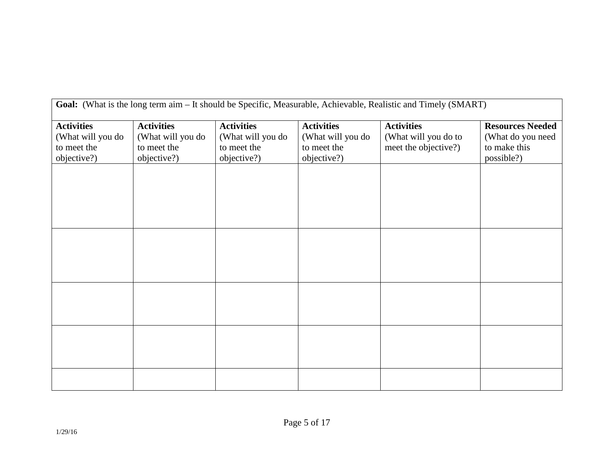| <b>Goal:</b> (What is the long term aim – It should be Specific, Measurable, Achievable, Realistic and Timely (SMART) |                   |                   |                   |                      |                         |
|-----------------------------------------------------------------------------------------------------------------------|-------------------|-------------------|-------------------|----------------------|-------------------------|
| <b>Activities</b>                                                                                                     | <b>Activities</b> | <b>Activities</b> | <b>Activities</b> | <b>Activities</b>    | <b>Resources Needed</b> |
| (What will you do                                                                                                     | (What will you do | (What will you do | (What will you do | (What will you do to | (What do you need       |
| to meet the                                                                                                           | to meet the       | to meet the       | to meet the       | meet the objective?) | to make this            |
| objective?)                                                                                                           | objective?)       | objective?)       | objective?)       |                      | possible?)              |
|                                                                                                                       |                   |                   |                   |                      |                         |
|                                                                                                                       |                   |                   |                   |                      |                         |
|                                                                                                                       |                   |                   |                   |                      |                         |
|                                                                                                                       |                   |                   |                   |                      |                         |
|                                                                                                                       |                   |                   |                   |                      |                         |
|                                                                                                                       |                   |                   |                   |                      |                         |
|                                                                                                                       |                   |                   |                   |                      |                         |
|                                                                                                                       |                   |                   |                   |                      |                         |
|                                                                                                                       |                   |                   |                   |                      |                         |
|                                                                                                                       |                   |                   |                   |                      |                         |
|                                                                                                                       |                   |                   |                   |                      |                         |
|                                                                                                                       |                   |                   |                   |                      |                         |
|                                                                                                                       |                   |                   |                   |                      |                         |
|                                                                                                                       |                   |                   |                   |                      |                         |
|                                                                                                                       |                   |                   |                   |                      |                         |
|                                                                                                                       |                   |                   |                   |                      |                         |
|                                                                                                                       |                   |                   |                   |                      |                         |

**Goal:** (What is the long term aim – It should be Specific, Measurable, Achievable, Realistic and Timely (SMART)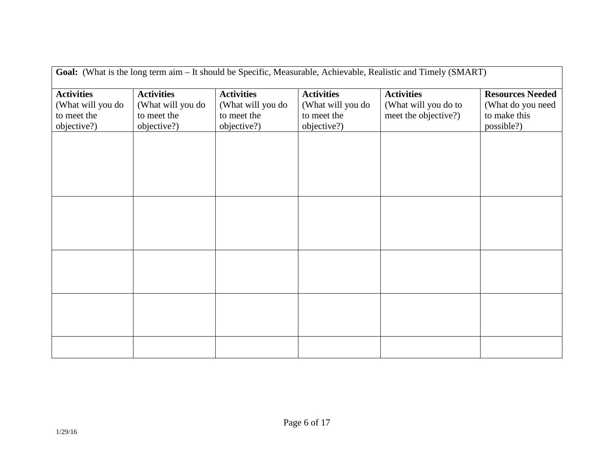| Goal: (What is the long term aim - It should be Specific, Measurable, Achievable, Realistic and Timely (SMART) |                   |                   |                   |                      |                         |
|----------------------------------------------------------------------------------------------------------------|-------------------|-------------------|-------------------|----------------------|-------------------------|
| <b>Activities</b>                                                                                              | <b>Activities</b> | <b>Activities</b> | <b>Activities</b> | <b>Activities</b>    | <b>Resources Needed</b> |
| (What will you do                                                                                              | (What will you do | (What will you do | (What will you do | (What will you do to | (What do you need       |
| to meet the                                                                                                    | to meet the       | to meet the       | to meet the       | meet the objective?) | to make this            |
| objective?)                                                                                                    | objective?)       | objective?)       | objective?)       |                      | possible?)              |
|                                                                                                                |                   |                   |                   |                      |                         |
|                                                                                                                |                   |                   |                   |                      |                         |
|                                                                                                                |                   |                   |                   |                      |                         |
|                                                                                                                |                   |                   |                   |                      |                         |
|                                                                                                                |                   |                   |                   |                      |                         |
|                                                                                                                |                   |                   |                   |                      |                         |
|                                                                                                                |                   |                   |                   |                      |                         |
|                                                                                                                |                   |                   |                   |                      |                         |
|                                                                                                                |                   |                   |                   |                      |                         |
|                                                                                                                |                   |                   |                   |                      |                         |
|                                                                                                                |                   |                   |                   |                      |                         |
|                                                                                                                |                   |                   |                   |                      |                         |
|                                                                                                                |                   |                   |                   |                      |                         |
|                                                                                                                |                   |                   |                   |                      |                         |
|                                                                                                                |                   |                   |                   |                      |                         |
|                                                                                                                |                   |                   |                   |                      |                         |
|                                                                                                                |                   |                   |                   |                      |                         |
|                                                                                                                |                   |                   |                   |                      |                         |
|                                                                                                                |                   |                   |                   |                      |                         |
|                                                                                                                |                   |                   |                   |                      |                         |
|                                                                                                                |                   |                   |                   |                      |                         |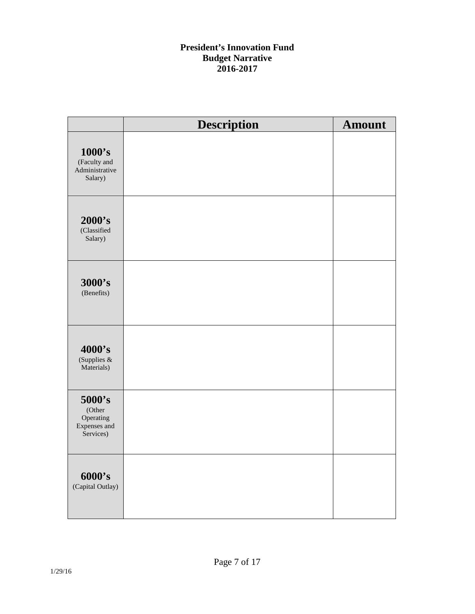# **President's Innovation Fund Budget Narrative 2016-2017**

|                                                            | <b>Description</b> | <b>Amount</b> |
|------------------------------------------------------------|--------------------|---------------|
| 1000's<br>(Faculty and<br>Administrative<br>Salary)        |                    |               |
| 2000's<br>(Classified<br>Salary)                           |                    |               |
| 3000's<br>(Benefits)                                       |                    |               |
| 4000's<br>(Supplies &<br>Materials)                        |                    |               |
| 5000's<br>(Other<br>Operating<br>Expenses and<br>Services) |                    |               |
| 6000's<br>(Capital Outlay)                                 |                    |               |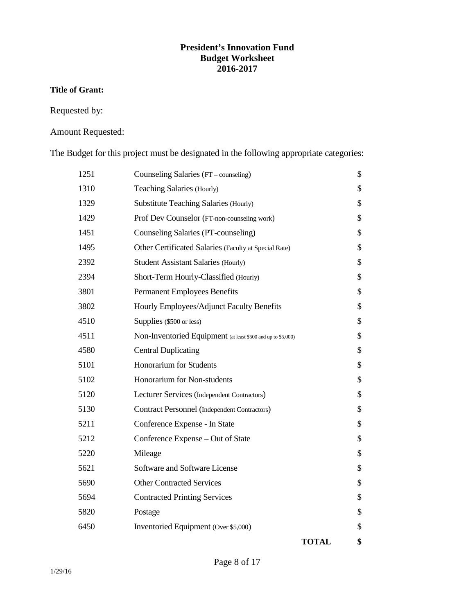# **President's Innovation Fund Budget Worksheet 2016-2017**

#### **Title of Grant:**

Requested by:

# Amount Requested:

The Budget for this project must be designated in the following appropriate categories:

|      |                                                              | <b>TOTAL</b> | \$ |
|------|--------------------------------------------------------------|--------------|----|
| 6450 | Inventoried Equipment (Over \$5,000)                         |              | \$ |
| 5820 | Postage                                                      |              | \$ |
| 5694 | <b>Contracted Printing Services</b>                          |              | \$ |
| 5690 | <b>Other Contracted Services</b>                             |              | \$ |
| 5621 | Software and Software License                                |              | \$ |
| 5220 | Mileage                                                      |              | \$ |
| 5212 | Conference Expense - Out of State                            |              | \$ |
| 5211 | Conference Expense - In State                                |              | \$ |
| 5130 | <b>Contract Personnel (Independent Contractors)</b>          |              | \$ |
| 5120 | Lecturer Services (Independent Contractors)                  |              | \$ |
| 5102 | Honorarium for Non-students                                  |              | \$ |
| 5101 | Honorarium for Students                                      |              | \$ |
| 4580 | <b>Central Duplicating</b>                                   |              | \$ |
| 4511 | Non-Inventoried Equipment (at least \$500 and up to \$5,000) |              | \$ |
| 4510 | Supplies (\$500 or less)                                     |              | \$ |
| 3802 | Hourly Employees/Adjunct Faculty Benefits                    |              | \$ |
| 3801 | <b>Permanent Employees Benefits</b>                          |              | \$ |
| 2394 | Short-Term Hourly-Classified (Hourly)                        |              | \$ |
| 2392 | <b>Student Assistant Salaries (Hourly)</b>                   |              | \$ |
| 1495 | Other Certificated Salaries (Faculty at Special Rate)        |              | \$ |
| 1451 | Counseling Salaries (PT-counseling)                          |              | \$ |
| 1429 | Prof Dev Counselor (FT-non-counseling work)                  |              | \$ |
| 1329 | <b>Substitute Teaching Salaries (Hourly)</b>                 |              | \$ |
| 1310 | Teaching Salaries (Hourly)                                   |              | \$ |
| 1251 | Counseling Salaries (FT – counseling)                        |              | \$ |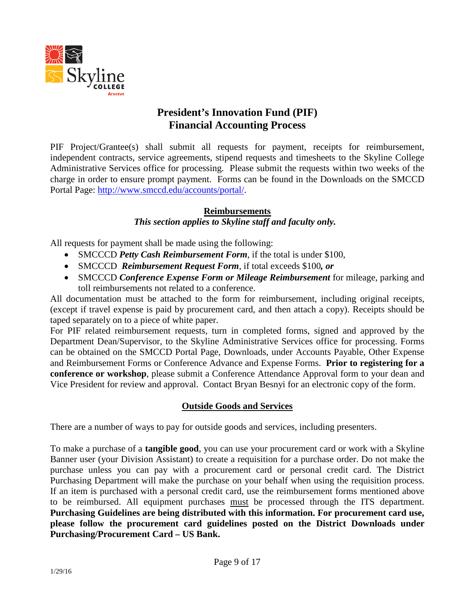

# **President's Innovation Fund (PIF) Financial Accounting Process**

PIF Project/Grantee(s) shall submit all requests for payment, receipts for reimbursement, independent contracts, service agreements, stipend requests and timesheets to the Skyline College Administrative Services office for processing. Please submit the requests within two weeks of the charge in order to ensure prompt payment. Forms can be found in the Downloads on the SMCCD Portal Page: [http://www.smccd.edu/accounts/portal/.](http://www.smccd.edu/accounts/portal/)

# **Reimbursements**

# *This section applies to Skyline staff and faculty only.*

All requests for payment shall be made using the following:

- SMCCCD *Petty Cash Reimbursement Form*, if the total is under \$100,
- SMCCCD *Reimbursement Request Form*, if total exceeds \$100*, or*
- SMCCCD *Conference Expense Form or Mileage Reimbursement* for mileage, parking and toll reimbursements not related to a conference.

All documentation must be attached to the form for reimbursement, including original receipts, (except if travel expense is paid by procurement card, and then attach a copy). Receipts should be taped separately on to a piece of white paper.

For PIF related reimbursement requests, turn in completed forms, signed and approved by the Department Dean/Supervisor, to the Skyline Administrative Services office for processing. Forms can be obtained on the SMCCD Portal Page, Downloads, under Accounts Payable, Other Expense and Reimbursement Forms or Conference Advance and Expense Forms. **Prior to registering for a conference or workshop**, please submit a Conference Attendance Approval form to your dean and Vice President for review and approval. Contact Bryan Besnyi for an electronic copy of the form.

# **Outside Goods and Services**

There are a number of ways to pay for outside goods and services, including presenters.

To make a purchase of a **tangible good**, you can use your procurement card or work with a Skyline Banner user (your Division Assistant) to create a requisition for a purchase order. Do not make the purchase unless you can pay with a procurement card or personal credit card. The District Purchasing Department will make the purchase on your behalf when using the requisition process. If an item is purchased with a personal credit card, use the reimbursement forms mentioned above to be reimbursed. All equipment purchases must be processed through the ITS department. **Purchasing Guidelines are being distributed with this information. For procurement card use, please follow the procurement card guidelines posted on the District Downloads under Purchasing/Procurement Card – US Bank.**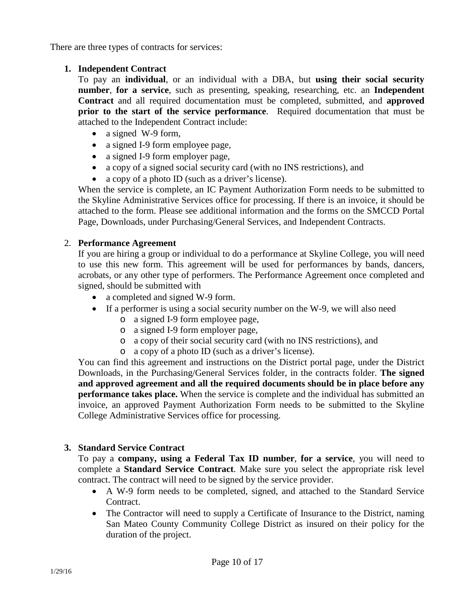There are three types of contracts for services:

# **1. Independent Contract**

To pay an **individual**, or an individual with a DBA, but **using their social security number**, **for a service**, such as presenting, speaking, researching, etc. an **Independent Contract** and all required documentation must be completed, submitted, and **approved prior to the start of the service performance**. Required documentation that must be attached to the Independent Contract include:

- a signed W-9 form,
- a signed I-9 form employee page,
- a signed I-9 form employer page,
- a copy of a signed social security card (with no INS restrictions), and
- a copy of a photo ID (such as a driver's license).

When the service is complete, an IC Payment Authorization Form needs to be submitted to the Skyline Administrative Services office for processing. If there is an invoice, it should be attached to the form. Please see additional information and the forms on the SMCCD Portal Page, Downloads, under Purchasing/General Services, and Independent Contracts.

# 2. **Performance Agreement**

If you are hiring a group or individual to do a performance at Skyline College, you will need to use this new form. This agreement will be used for performances by bands, dancers, acrobats, or any other type of performers. The Performance Agreement once completed and signed, should be submitted with

- a completed and signed W-9 form.
- If a performer is using a social security number on the W-9, we will also need
	- o a signed I-9 form employee page,
	- o a signed I-9 form employer page,
	- o a copy of their social security card (with no INS restrictions), and
	- o a copy of a photo ID (such as a driver's license).

You can find this agreement and instructions on the District portal page, under the District Downloads, in the Purchasing/General Services folder, in the contracts folder. **The signed and approved agreement and all the required documents should be in place before any performance takes place.** When the service is complete and the individual has submitted an invoice, an approved Payment Authorization Form needs to be submitted to the Skyline College Administrative Services office for processing.

# **3. Standard Service Contract**

To pay a **company, using a Federal Tax ID number**, **for a service**, you will need to complete a **Standard Service Contract**. Make sure you select the appropriate risk level contract. The contract will need to be signed by the service provider.

- A W-9 form needs to be completed, signed, and attached to the Standard Service Contract.
- The Contractor will need to supply a Certificate of Insurance to the District, naming San Mateo County Community College District as insured on their policy for the duration of the project.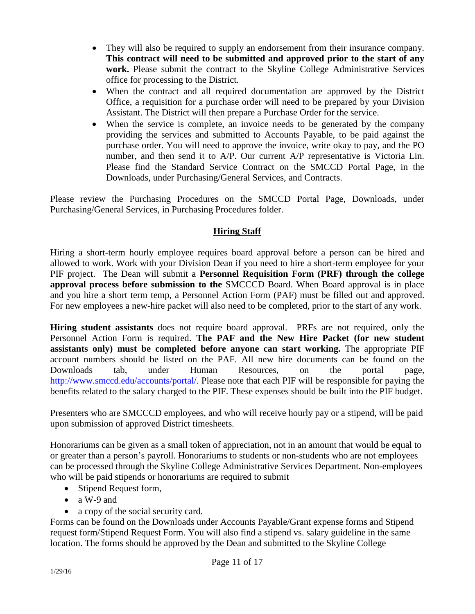- They will also be required to supply an endorsement from their insurance company. **This contract will need to be submitted and approved prior to the start of any work.** Please submit the contract to the Skyline College Administrative Services office for processing to the District.
- When the contract and all required documentation are approved by the District Office, a requisition for a purchase order will need to be prepared by your Division Assistant. The District will then prepare a Purchase Order for the service.
- When the service is complete, an invoice needs to be generated by the company providing the services and submitted to Accounts Payable, to be paid against the purchase order. You will need to approve the invoice, write okay to pay, and the PO number, and then send it to A/P. Our current A/P representative is Victoria Lin. Please find the Standard Service Contract on the SMCCD Portal Page, in the Downloads, under Purchasing/General Services, and Contracts.

Please review the Purchasing Procedures on the SMCCD Portal Page, Downloads, under Purchasing/General Services, in Purchasing Procedures folder.

# **Hiring Staff**

Hiring a short-term hourly employee requires board approval before a person can be hired and allowed to work. Work with your Division Dean if you need to hire a short-term employee for your PIF project. The Dean will submit a **Personnel Requisition Form (PRF) through the college approval process before submission to the** SMCCCD Board. When Board approval is in place and you hire a short term temp, a Personnel Action Form (PAF) must be filled out and approved. For new employees a new-hire packet will also need to be completed, prior to the start of any work.

**Hiring student assistants** does not require board approval. PRFs are not required, only the Personnel Action Form is required. **The PAF and the New Hire Packet (for new student assistants only) must be completed before anyone can start working.** The appropriate PIF account numbers should be listed on the PAF. All new hire documents can be found on the Downloads tab, under Human Resources, on the portal page, [http://www.smccd.edu/accounts/portal/.](http://www.smccd.edu/accounts/portal/) Please note that each PIF will be responsible for paying the benefits related to the salary charged to the PIF. These expenses should be built into the PIF budget.

Presenters who are SMCCCD employees, and who will receive hourly pay or a stipend, will be paid upon submission of approved District timesheets.

Honorariums can be given as a small token of appreciation, not in an amount that would be equal to or greater than a person's payroll. Honorariums to students or non-students who are not employees can be processed through the Skyline College Administrative Services Department. Non-employees who will be paid stipends or honorariums are required to submit

- Stipend Request form,
- a W-9 and
- a copy of the social security card.

Forms can be found on the Downloads under Accounts Payable/Grant expense forms and Stipend request form/Stipend Request Form. You will also find a stipend vs. salary guideline in the same location. The forms should be approved by the Dean and submitted to the Skyline College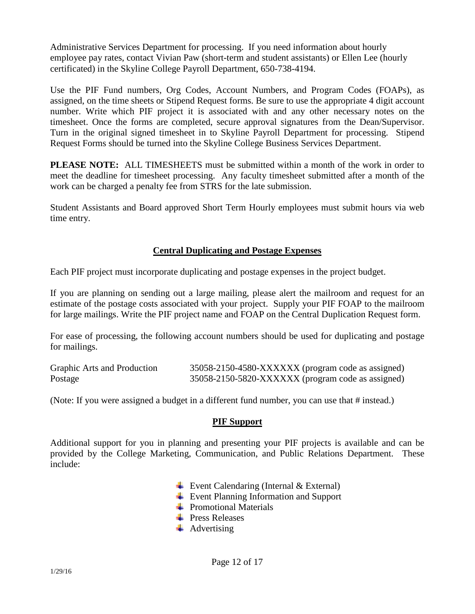Administrative Services Department for processing. If you need information about hourly employee pay rates, contact Vivian Paw (short-term and student assistants) or Ellen Lee (hourly certificated) in the Skyline College Payroll Department, 650-738-4194.

Use the PIF Fund numbers, Org Codes, Account Numbers, and Program Codes (FOAPs), as assigned, on the time sheets or Stipend Request forms. Be sure to use the appropriate 4 digit account number. Write which PIF project it is associated with and any other necessary notes on the timesheet. Once the forms are completed, secure approval signatures from the Dean/Supervisor. Turn in the original signed timesheet in to Skyline Payroll Department for processing. Stipend Request Forms should be turned into the Skyline College Business Services Department.

**PLEASE NOTE:** ALL TIMESHEETS must be submitted within a month of the work in order to meet the deadline for timesheet processing. Any faculty timesheet submitted after a month of the work can be charged a penalty fee from STRS for the late submission.

Student Assistants and Board approved Short Term Hourly employees must submit hours via web time entry.

# **Central Duplicating and Postage Expenses**

Each PIF project must incorporate duplicating and postage expenses in the project budget.

If you are planning on sending out a large mailing, please alert the mailroom and request for an estimate of the postage costs associated with your project. Supply your PIF FOAP to the mailroom for large mailings. Write the PIF project name and FOAP on the Central Duplication Request form.

For ease of processing, the following account numbers should be used for duplicating and postage for mailings.

| Graphic Arts and Production | 35058-2150-4580-XXXXXX (program code as assigned) |  |
|-----------------------------|---------------------------------------------------|--|
| Postage                     | 35058-2150-5820-XXXXXX (program code as assigned) |  |

(Note: If you were assigned a budget in a different fund number, you can use that # instead.)

# **PIF Support**

Additional support for you in planning and presenting your PIF projects is available and can be provided by the College Marketing, Communication, and Public Relations Department. These include:

- Event Calendaring (Internal  $& External$ )
- Event Planning Information and Support
- $\leftarrow$  Promotional Materials
- **E** Press Releases
- $\overline{\phantom{a}}$  Advertising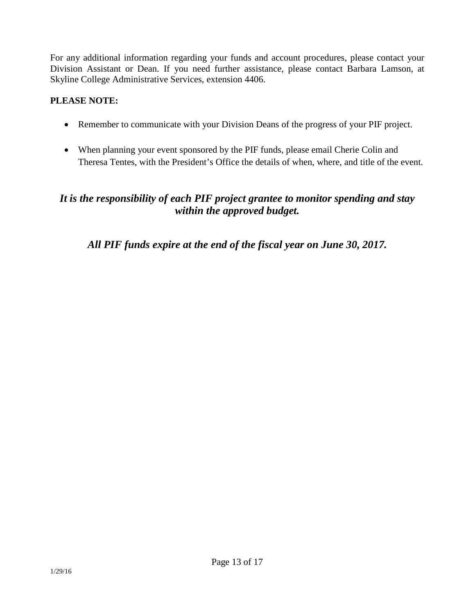For any additional information regarding your funds and account procedures, please contact your Division Assistant or Dean. If you need further assistance, please contact Barbara Lamson, at Skyline College Administrative Services, extension 4406.

# **PLEASE NOTE:**

- Remember to communicate with your Division Deans of the progress of your PIF project.
- When planning your event sponsored by the PIF funds, please email Cherie Colin and Theresa Tentes, with the President's Office the details of when, where, and title of the event.

# *It is the responsibility of each PIF project grantee to monitor spending and stay within the approved budget.*

*All PIF funds expire at the end of the fiscal year on June 30, 2017.*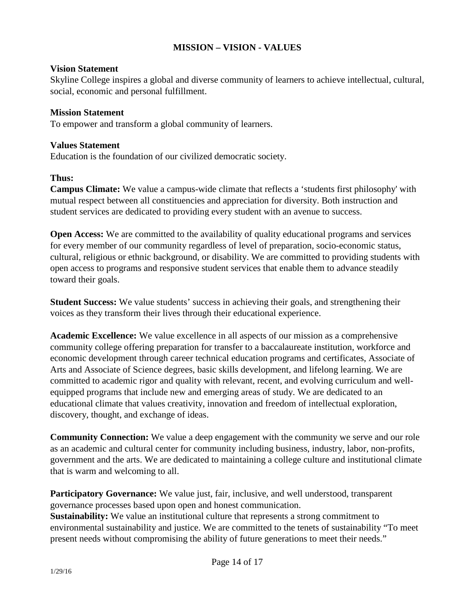# **MISSION – VISION - VALUES**

#### **Vision Statement**

Skyline College inspires a global and diverse community of learners to achieve intellectual, cultural, social, economic and personal fulfillment.

### **Mission Statement**

To empower and transform a global community of learners.

### **Values Statement**

Education is the foundation of our civilized democratic society.

### **Thus:**

**Campus Climate:** We value a campus-wide climate that reflects a 'students first philosophy' with mutual respect between all constituencies and appreciation for diversity. Both instruction and student services are dedicated to providing every student with an avenue to success.

**Open Access:** We are committed to the availability of quality educational programs and services for every member of our community regardless of level of preparation, socio-economic status, cultural, religious or ethnic background, or disability. We are committed to providing students with open access to programs and responsive student services that enable them to advance steadily toward their goals.

**Student Success:** We value students' success in achieving their goals, and strengthening their voices as they transform their lives through their educational experience.

**Academic Excellence:** We value excellence in all aspects of our mission as a comprehensive community college offering preparation for transfer to a baccalaureate institution, workforce and economic development through career technical education programs and certificates, Associate of Arts and Associate of Science degrees, basic skills development, and lifelong learning. We are committed to academic rigor and quality with relevant, recent, and evolving curriculum and wellequipped programs that include new and emerging areas of study. We are dedicated to an educational climate that values creativity, innovation and freedom of intellectual exploration, discovery, thought, and exchange of ideas.

**Community Connection:** We value a deep engagement with the community we serve and our role as an academic and cultural center for community including business, industry, labor, non-profits, government and the arts. We are dedicated to maintaining a college culture and institutional climate that is warm and welcoming to all.

**Participatory Governance:** We value just, fair, inclusive, and well understood, transparent governance processes based upon open and honest communication.

**Sustainability:** We value an institutional culture that represents a strong commitment to environmental sustainability and justice. We are committed to the tenets of sustainability "To meet present needs without compromising the ability of future generations to meet their needs."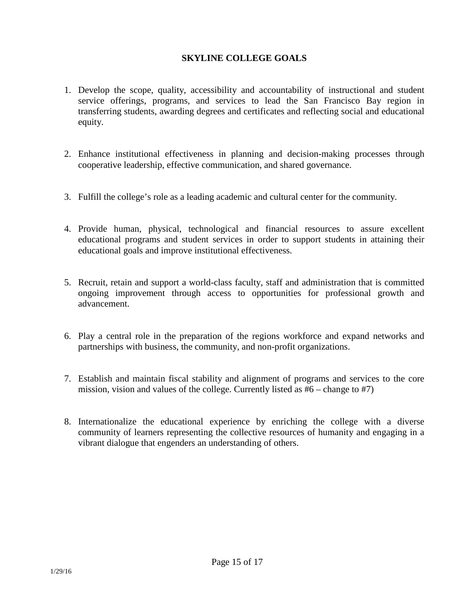# **SKYLINE COLLEGE GOALS**

- 1. Develop the scope, quality, accessibility and accountability of instructional and student service offerings, programs, and services to lead the San Francisco Bay region in transferring students, awarding degrees and certificates and reflecting social and educational equity.
- 2. Enhance institutional effectiveness in planning and decision-making processes through cooperative leadership, effective communication, and shared governance.
- 3. Fulfill the college's role as a leading academic and cultural center for the community.
- 4. Provide human, physical, technological and financial resources to assure excellent educational programs and student services in order to support students in attaining their educational goals and improve institutional effectiveness.
- 5. Recruit, retain and support a world-class faculty, staff and administration that is committed ongoing improvement through access to opportunities for professional growth and advancement.
- 6. Play a central role in the preparation of the regions workforce and expand networks and partnerships with business, the community, and non-profit organizations.
- 7. Establish and maintain fiscal stability and alignment of programs and services to the core mission, vision and values of the college. Currently listed as  $#6$  – change to  $#7$ )
- 8. Internationalize the educational experience by enriching the college with a diverse community of learners representing the collective resources of humanity and engaging in a vibrant dialogue that engenders an understanding of others.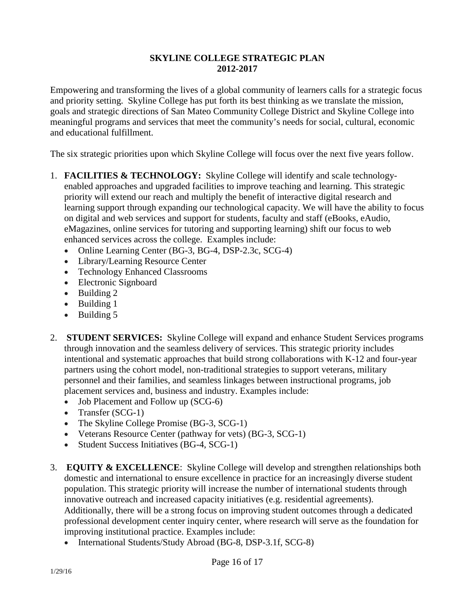# **SKYLINE COLLEGE STRATEGIC PLAN 2012-2017**

Empowering and transforming the lives of a global community of learners calls for a strategic focus and priority setting. Skyline College has put forth its best thinking as we translate the mission, goals and strategic directions of San Mateo Community College District and Skyline College into meaningful programs and services that meet the community's needs for social, cultural, economic and educational fulfillment.

The six strategic priorities upon which Skyline College will focus over the next five years follow.

- 1. **FACILITIES & TECHNOLOGY:** Skyline College will identify and scale technologyenabled approaches and upgraded facilities to improve teaching and learning. This strategic priority will extend our reach and multiply the benefit of interactive digital research and learning support through expanding our technological capacity. We will have the ability to focus on digital and web services and support for students, faculty and staff (eBooks, eAudio, eMagazines, online services for tutoring and supporting learning) shift our focus to web enhanced services across the college. Examples include:
	- Online Learning Center (BG-3, BG-4, DSP-2.3c, SCG-4)
	- Library/Learning Resource Center
	- Technology Enhanced Classrooms
	- Electronic Signboard
	- Building 2
	- Building 1
	- Building 5
- 2. **STUDENT SERVICES:** Skyline College will expand and enhance Student Services programs through innovation and the seamless delivery of services. This strategic priority includes intentional and systematic approaches that build strong collaborations with K-12 and four-year partners using the cohort model, non-traditional strategies to support veterans, military personnel and their families, and seamless linkages between instructional programs, job placement services and, business and industry. Examples include:
	- Job Placement and Follow up (SCG-6)
	- Transfer (SCG-1)
	- The Skyline College Promise (BG-3, SCG-1)
	- Veterans Resource Center (pathway for vets) (BG-3, SCG-1)
	- Student Success Initiatives (BG-4, SCG-1)
- 3. **EQUITY & EXCELLENCE**: Skyline College will develop and strengthen relationships both domestic and international to ensure excellence in practice for an increasingly diverse student population. This strategic priority will increase the number of international students through innovative outreach and increased capacity initiatives (e.g. residential agreements). Additionally, there will be a strong focus on improving student outcomes through a dedicated professional development center inquiry center, where research will serve as the foundation for improving institutional practice. Examples include:
	- International Students/Study Abroad (BG-8, DSP-3.1f, SCG-8)